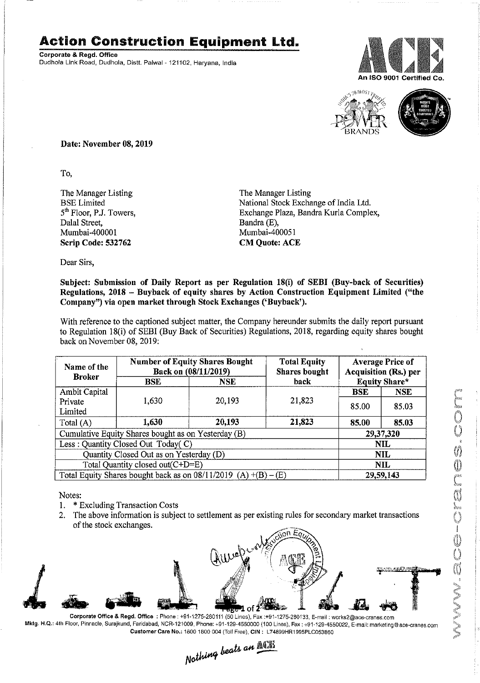## **Action Construction Equipment** Ltd.

Corporate & Regd. Office Dudhola Link Road, Dudhola, Distt. Palwal - 121102, Haryana, India





Date: November OS,2019

To,

The Manager Listing BSE Limited 5<sup>th</sup> Floor, P.J. Towers, Dalal Street, Mumbai-400001 Scrip Code: 532762

The Manager Listing National Stock Exchange of India Ltd. Exchange Plaza, Bandra Kurla Complex, Bandra(E), Mumbai-400051 CM Quote: ACE

Dear Sirs,

## Subject: Submission of Daily Report as per Regulation 1S(i) of SEBI (Buy-back of Securities) Regulations, 2018 - Buyback of equity shares by Action Construction Equipment Limited ("the Company") via open market through Stock Exchanges ('Buyback').

With reference to the captioned subject matter, the Company hereunder submits the daily report pursuant to Regulation 18(i) of SEBI (Buy Back of Securities) Regulations, 2018, regarding equity shares bought back on November 08, 2019:

| Name of the<br><b>Broker</b>                                        | <b>Number of Equity Shares Bought</b><br>Back on (08/11/2019) |            | <b>Total Equity</b><br><b>Shares bought</b> | <b>Average Price of</b><br><b>Acquisition (Rs.) per</b> |           |  |
|---------------------------------------------------------------------|---------------------------------------------------------------|------------|---------------------------------------------|---------------------------------------------------------|-----------|--|
|                                                                     | <b>BSE</b>                                                    | <b>NSE</b> | back                                        | <b>Equity Share*</b>                                    |           |  |
| <b>Ambit Capital</b>                                                |                                                               |            |                                             | <b>BSE</b>                                              | NSE.      |  |
| Private<br>Limited                                                  | 1,630                                                         | 20,193     | 21,823                                      | 85.00                                                   | 85.03     |  |
| Total (A)                                                           | 1,630                                                         | 20,193     | 21,823                                      | 85.00                                                   | 85.03     |  |
| Cumulative Equity Shares bought as on Yesterday (B)                 |                                                               |            |                                             |                                                         | 29,37,320 |  |
| Less: Quantity Closed Out Today(C)                                  |                                                               |            |                                             | <b>NIL</b>                                              |           |  |
| Quantity Closed Out as on Yesterday (D)                             |                                                               |            |                                             | <b>NIL</b>                                              |           |  |
| Total Quantity closed out(C+D=E)                                    |                                                               |            |                                             | <b>NIL</b>                                              |           |  |
| Total Equity Shares bought back as on $08/11/2019$ (A) $+(B) - (E)$ |                                                               |            |                                             | 29,59.143                                               |           |  |

Notes:

- 1. \* Excluding Transaction Costs
- 2. The above information is subject to settlement as per existing rules for secondary market transactions of the stock exchanges.



Corporate Office & Regd. Office: Phone: +91-1275-280111 (50 Lines), Fax: +91-1275-280133, E-mail: works2@ace-cranes.com Mktg. H.Q.: 4th Floor. Pinnacle,Surajkund, Faridabad, NCR-121009. Phone: +91-129-4550000 (100 Lines), Fax: +91-129-4550022. E-mail: marketlng@ace-cranes.com

Customer Care No.: 1800 1800 004 (Toll Free), CIN: L74899HR1995PLC053860<br>Nathing beats an **ACR**